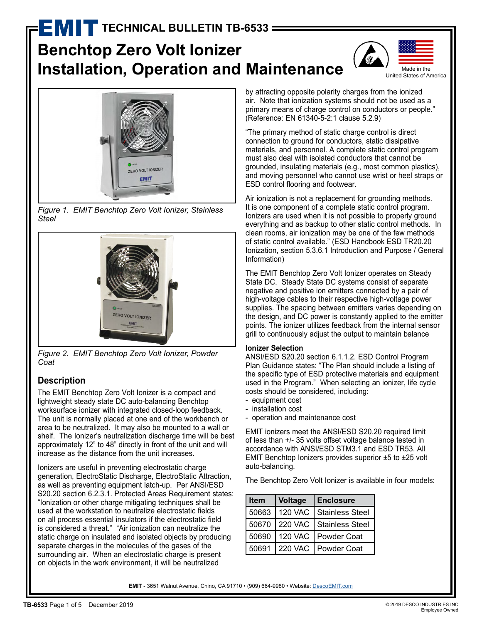# **TECHNICAL BULLETIN TB-6533 =**

# **Benchtop Zero Volt Ionizer Installation, Operation and Maintenance**





*Figure 1. EMIT Benchtop Zero Volt Ionizer, Stainless Steel*



*Figure 2. EMIT Benchtop Zero Volt Ionizer, Powder Coat*

## **Description**

The EMIT Benchtop Zero Volt Ionizer is a compact and lightweight steady state DC auto-balancing Benchtop worksurface ionizer with integrated closed-loop feedback. The unit is normally placed at one end of the workbench or area to be neutralized. It may also be mounted to a wall or shelf. The Ionizer's neutralization discharge time will be best approximately 12" to 48" directly in front of the unit and will increase as the distance from the unit increases.

Ionizers are useful in preventing electrostatic charge generation, ElectroStatic Discharge, ElectroStatic Attraction, as well as preventing equipment latch-up. Per ANSI/ESD S20.20 section 6.2.3.1. Protected Areas Requirement states: "Ionization or other charge mitigating techniques shall be used at the workstation to neutralize electrostatic fields on all process essential insulators if the electrostatic field is considered a threat." "Air ionization can neutralize the static charge on insulated and isolated objects by producing separate charges in the molecules of the gases of the surrounding air. When an electrostatic charge is present on objects in the work environment, it will be neutralized

by attracting opposite polarity charges from the ionized air. Note that ionization systems should not be used as a primary means of charge control on conductors or people." (Reference: EN 61340-5-2:1 clause 5.2.9)

"The primary method of static charge control is direct connection to ground for conductors, static dissipative materials, and personnel. A complete static control program must also deal with isolated conductors that cannot be grounded, insulating materials (e.g., most common plastics), and moving personnel who cannot use wrist or heel straps or ESD control flooring and footwear.

Air ionization is not a replacement for grounding methods. It is one component of a complete static control program. Ionizers are used when it is not possible to properly ground everything and as backup to other static control methods. In clean rooms, air ionization may be one of the few methods of static control available." (ESD Handbook ESD TR20.20 Ionization, section 5.3.6.1 Introduction and Purpose / General Information)

The EMIT Benchtop Zero Volt Ionizer operates on Steady State DC. Steady State DC systems consist of separate negative and positive ion emitters connected by a pair of high-voltage cables to their respective high-voltage power supplies. The spacing between emitters varies depending on the design, and DC power is constantly applied to the emitter points. The ionizer utilizes feedback from the internal sensor grill to continuously adjust the output to maintain balance

#### **Ionizer Selection**

ANSI/ESD S20.20 section 6.1.1.2. ESD Control Program Plan Guidance states: "The Plan should include a listing of the specific type of ESD protective materials and equipment used in the Program." When selecting an ionizer, life cycle costs should be considered, including:

- equipment cost
- installation cost
- operation and maintenance cost

EMIT ionizers meet the ANSI/ESD S20.20 required limit of less than +/- 35 volts offset voltage balance tested in accordance with ANSI/ESD STM3.1 and ESD TR53. All EMIT Benchtop Ionizers provides superior ±5 to ±25 volt auto-balancing.

The Benchtop Zero Volt Ionizer is available in four models:

| <b>Item</b> | <b>Voltage</b> | <b>Enclosure</b>          |
|-------------|----------------|---------------------------|
| 50663       | <b>120 VAC</b> | <b>Stainless Steel</b>    |
| 50670       |                | 220 VAC   Stainless Steel |
| 50690       | <b>120 VAC</b> | Powder Coat               |
| 50691       | <b>220 VAC</b> | Powder Coat               |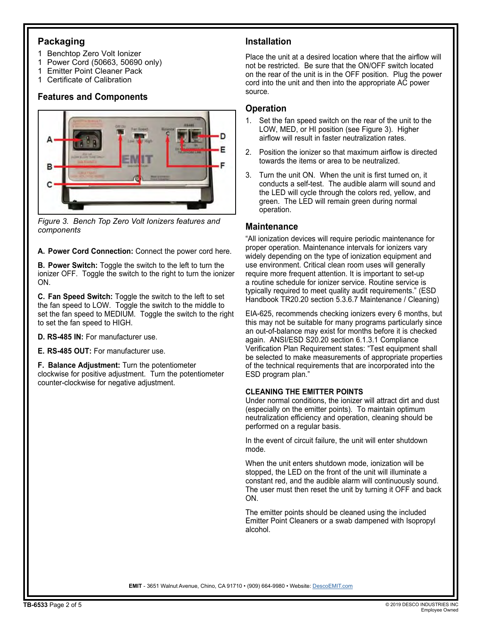#### **Packaging**

- 1 Benchtop Zero Volt Ionizer
- 1 Power Cord (50663, 50690 only)
- 1 Emitter Point Cleaner Pack
- 1 Certificate of Calibration

## **Features and Components**



*Figure 3. Bench Top Zero Volt Ionizers features and components*

**A. Power Cord Connection:** Connect the power cord here.

**B. Power Switch:** Toggle the switch to the left to turn the ionizer OFF. Toggle the switch to the right to turn the ionizer ON.

**C. Fan Speed Switch:** Toggle the switch to the left to set the fan speed to LOW. Toggle the switch to the middle to set the fan speed to MEDIUM. Toggle the switch to the right to set the fan speed to HIGH.

**D. RS-485 IN:** For manufacturer use.

**E. RS-485 OUT:** For manufacturer use.

**F. Balance Adjustment:** Turn the potentiometer clockwise for positive adjustment. Turn the potentiometer counter-clockwise for negative adjustment.

### **Installation**

Place the unit at a desired location where that the airflow will not be restricted. Be sure that the ON/OFF switch located on the rear of the unit is in the OFF position. Plug the power cord into the unit and then into the appropriate AC power source.

## **Operation**

- 1. Set the fan speed switch on the rear of the unit to the LOW, MED, or HI position (see Figure 3). Higher airflow will result in faster neutralization rates.
- 2. Position the ionizer so that maximum airflow is directed towards the items or area to be neutralized.
- 3. Turn the unit ON. When the unit is first turned on, it conducts a self-test. The audible alarm will sound and the LED will cycle through the colors red, yellow, and green. The LED will remain green during normal operation.

#### **Maintenance**

"All ionization devices will require periodic maintenance for proper operation. Maintenance intervals for ionizers vary widely depending on the type of ionization equipment and use environment. Critical clean room uses will generally require more frequent attention. It is important to set-up a routine schedule for ionizer service. Routine service is typically required to meet quality audit requirements." (ESD Handbook TR20.20 section 5.3.6.7 Maintenance / Cleaning)

EIA-625, recommends checking ionizers every 6 months, but this may not be suitable for many programs particularly since an out-of-balance may exist for months before it is checked again. ANSI/ESD S20.20 section 6.1.3.1 Compliance Verification Plan Requirement states: "Test equipment shall be selected to make measurements of appropriate properties of the technical requirements that are incorporated into the ESD program plan."

#### **CLEANING THE EMITTER POINTS**

Under normal conditions, the ionizer will attract dirt and dust (especially on the emitter points). To maintain optimum neutralization efficiency and operation, cleaning should be performed on a regular basis.

In the event of circuit failure, the unit will enter shutdown mode.

When the unit enters shutdown mode, ionization will be stopped, the LED on the front of the unit will illuminate a constant red, and the audible alarm will continuously sound. The user must then reset the unit by turning it OFF and back ON.

The emitter points should be cleaned using the included Emitter Point Cleaners or a swab dampened with Isopropyl alcohol.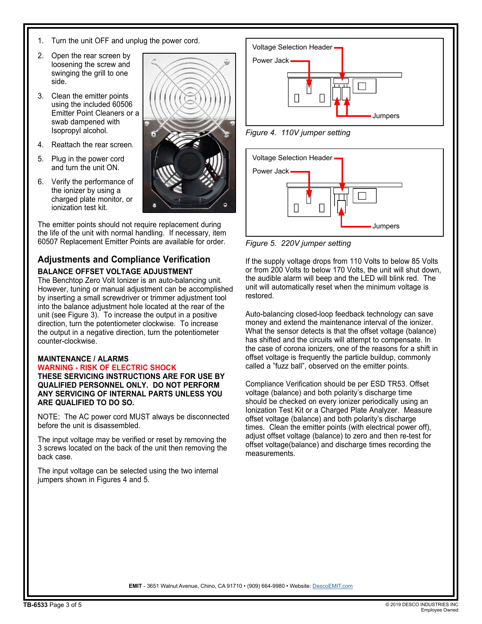- 1. Turn the unit OFF and unplug the power cord.
- 2. Open the rear screen by loosening the screw and swinging the grill to one side.
- 3. Clean the emitter points using the included 60506 Emitter Point Cleaners or a swab dampened with Isopropyl alcohol.
- 4. Reattach the rear screen.
- 5. Plug in the power cord and turn the unit ON.
- 6. Verify the performance of the ionizer by using a charged plate monitor, or ionization test kit.

The emitter points should not require replacement during the life of the unit with normal handling. If necessary, item 60507 Replacement Emitter Points are available for order.

#### **Adjustments and Compliance Verification BALANCE OFFSET VOLTAGE ADJUSTMENT**

The Benchtop Zero Volt Ionizer is an auto-balancing unit. However, tuning or manual adjustment can be accomplished by inserting a small screwdriver or trimmer adjustment tool into the balance adjustment hole located at the rear of the unit (see Figure 3). To increase the output in a positive direction, turn the potentiometer clockwise. To increase the output in a negative direction, turn the potentiometer counter-clockwise.

#### **MAINTENANCE / ALARMS**

**WARNING - RISK OF ELECTRIC SHOCK THESE SERVICING INSTRUCTIONS ARE FOR USE BY QUALIFIED PERSONNEL ONLY. DO NOT PERFORM ANY SERVICING OF INTERNAL PARTS UNLESS YOU ARE QUALIFIED TO DO SO.**

NOTE: The AC power cord MUST always be disconnected before the unit is disassembled.

The input voltage may be verified or reset by removing the 3 screws located on the back of the unit then removing the back case.

The input voltage can be selected using the two internal jumpers shown in Figures 4 and 5.



*Figure 4. 110V jumper setting*



*Figure 5. 220V jumper setting*

If the supply voltage drops from 110 Volts to below 85 Volts or from 200 Volts to below 170 Volts, the unit will shut down, the audible alarm will beep and the LED will blink red. The unit will automatically reset when the minimum voltage is restored.

Auto-balancing closed-loop feedback technology can save money and extend the maintenance interval of the ionizer. What the sensor detects is that the offset voltage (balance) has shifted and the circuits will attempt to compensate. In the case of corona ionizers, one of the reasons for a shift in offset voltage is frequently the particle buildup, commonly called a "fuzz ball", observed on the emitter points.

Compliance Verification should be per ESD TR53. Offset voltage (balance) and both polarity's discharge time should be checked on every ionizer periodically using an Ionization Test Kit or a Charged Plate Analyzer. Measure offset voltage (balance) and both polarity's discharge times. Clean the emitter points (with electrical power off), adjust offset voltage (balance) to zero and then re-test for offset voltage(balance) and discharge times recording the measurements.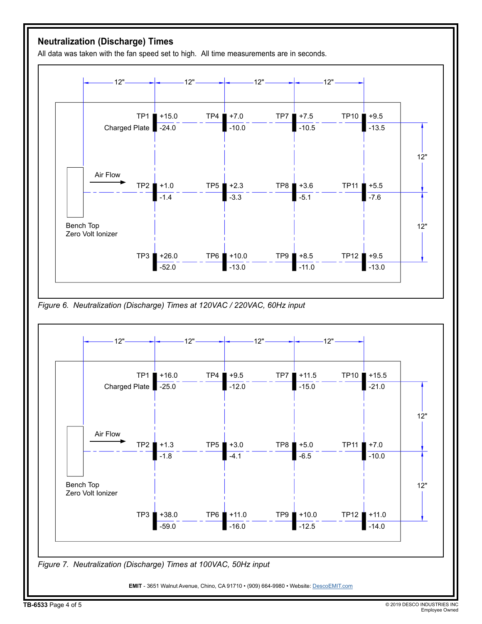## **Neutralization (Discharge) Times**

All data was taken with the fan speed set to high. All time measurements are in seconds.